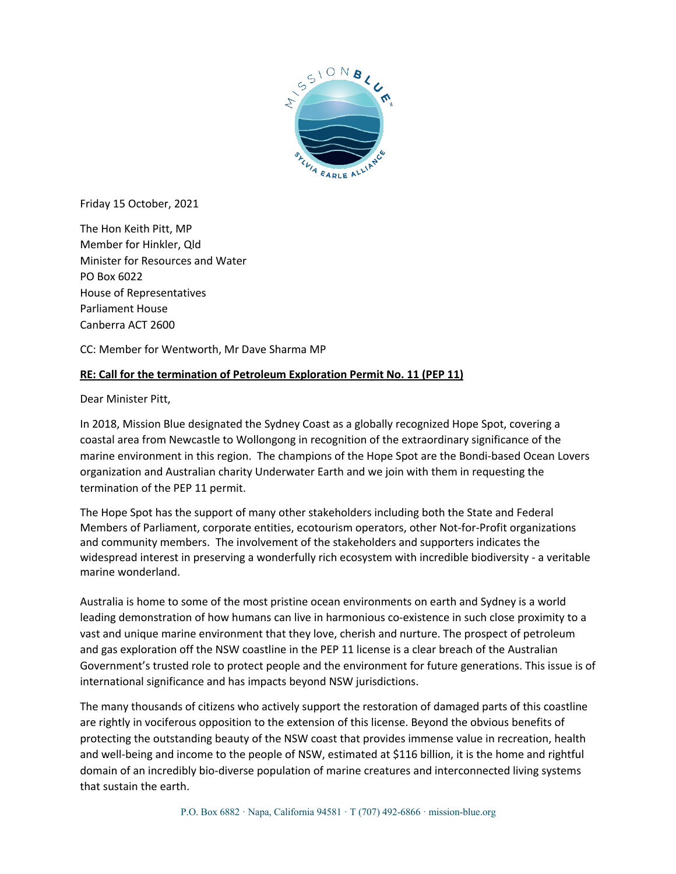

Friday 15 October, 2021

The Hon Keith Pitt, MP Member for Hinkler, Qld Minister for Resources and Water PO Box 6022 House of Representatives Parliament House Canberra ACT 2600

CC: Member for Wentworth, Mr Dave Sharma MP

## **RE: Call for the termination of Petroleum Exploration Permit No. 11 (PEP 11)**

Dear Minister Pitt,

In 2018, Mission Blue designated the Sydney Coast as a globally recognized Hope Spot, covering a coastal area from Newcastle to Wollongong in recognition of the extraordinary significance of the marine environment in this region. The champions of the Hope Spot are the Bondi-based Ocean Lovers organization and Australian charity Underwater Earth and we join with them in requesting the termination of the PEP 11 permit.

The Hope Spot has the support of many other stakeholders including both the State and Federal Members of Parliament, corporate entities, ecotourism operators, other Not-for-Profit organizations and community members. The involvement of the stakeholders and supporters indicates the widespread interest in preserving a wonderfully rich ecosystem with incredible biodiversity - a veritable marine wonderland.

Australia is home to some of the most pristine ocean environments on earth and Sydney is a world leading demonstration of how humans can live in harmonious co-existence in such close proximity to a vast and unique marine environment that they love, cherish and nurture. The prospect of petroleum and gas exploration off the NSW coastline in the PEP 11 license is a clear breach of the Australian Government's trusted role to protect people and the environment for future generations. This issue is of international significance and has impacts beyond NSW jurisdictions.

The many thousands of citizens who actively support the restoration of damaged parts of this coastline are rightly in vociferous opposition to the extension of this license. Beyond the obvious benefits of protecting the outstanding beauty of the NSW coast that provides immense value in recreation, health and well-being and income to the people of NSW, estimated at \$116 billion, it is the home and rightful domain of an incredibly bio-diverse population of marine creatures and interconnected living systems that sustain the earth.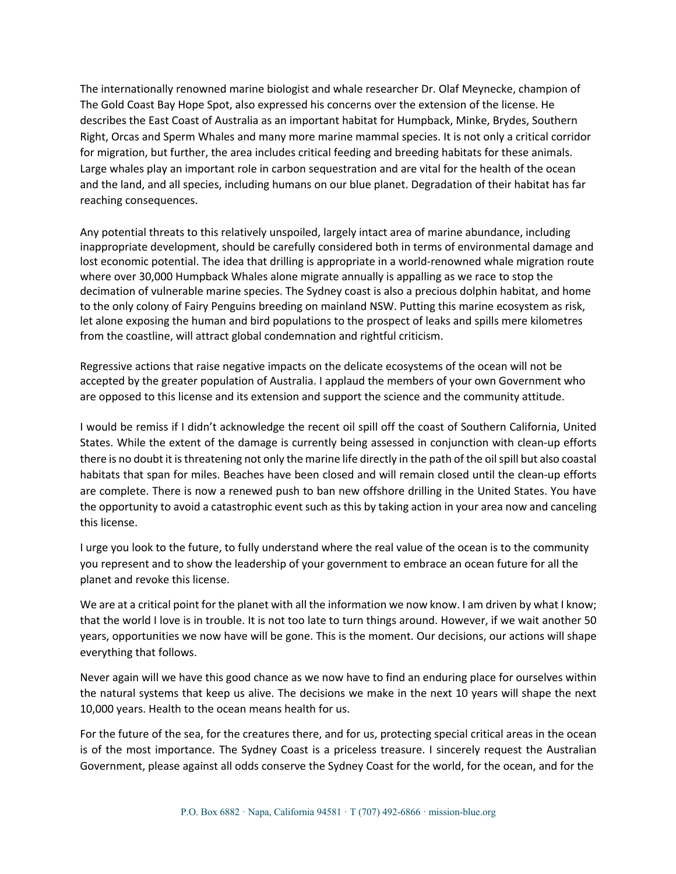The internationally renowned marine biologist and whale researcher Dr. Olaf Meynecke, champion of The Gold Coast Bay Hope Spot, also expressed his concerns over the extension of the license. He describes the East Coast of Australia as an important habitat for Humpback, Minke, Brydes, Southern Right, Orcas and Sperm Whales and many more marine mammal species. It is not only a critical corridor for migration, but further, the area includes critical feeding and breeding habitats for these animals. Large whales play an important role in carbon sequestration and are vital for the health of the ocean and the land, and all species, including humans on our blue planet. Degradation of their habitat has far reaching consequences.

Any potential threats to this relatively unspoiled, largely intact area of marine abundance, including inappropriate development, should be carefully considered both in terms of environmental damage and lost economic potential. The idea that drilling is appropriate in a world-renowned whale migration route where over 30,000 Humpback Whales alone migrate annually is appalling as we race to stop the decimation of vulnerable marine species. The Sydney coast is also a precious dolphin habitat, and home to the only colony of Fairy Penguins breeding on mainland NSW. Putting this marine ecosystem as risk, let alone exposing the human and bird populations to the prospect of leaks and spills mere kilometres from the coastline, will attract global condemnation and rightful criticism.

Regressive actions that raise negative impacts on the delicate ecosystems of the ocean will not be accepted by the greater population of Australia. I applaud the members of your own Government who are opposed to this license and its extension and support the science and the community attitude.

I would be remiss if I didn't acknowledge the recent oil spill off the coast of Southern California, United States. While the extent of the damage is currently being assessed in conjunction with clean-up efforts there is no doubt it is threatening not only the marine life directly in the path of the oil spill but also coastal habitats that span for miles. Beaches have been closed and will remain closed until the clean-up efforts are complete. There is now a renewed push to ban new offshore drilling in the United States. You have the opportunity to avoid a catastrophic event such as this by taking action in your area now and canceling this license.

I urge you look to the future, to fully understand where the real value of the ocean is to the community you represent and to show the leadership of your government to embrace an ocean future for all the planet and revoke this license.

We are at a critical point for the planet with all the information we now know. I am driven by what I know; that the world I love is in trouble. It is not too late to turn things around. However, if we wait another 50 years, opportunities we now have will be gone. This is the moment. Our decisions, our actions will shape everything that follows.

Never again will we have this good chance as we now have to find an enduring place for ourselves within the natural systems that keep us alive. The decisions we make in the next 10 years will shape the next 10,000 years. Health to the ocean means health for us.

For the future of the sea, for the creatures there, and for us, protecting special critical areas in the ocean is of the most importance. The Sydney Coast is a priceless treasure. I sincerely request the Australian Government, please against all odds conserve the Sydney Coast for the world, for the ocean, and for the